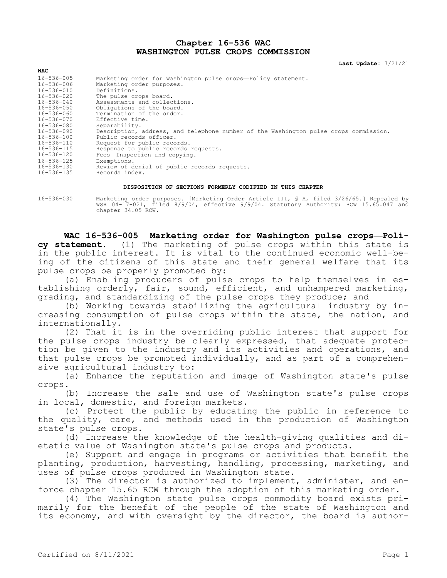# **Chapter 16-536 WAC WASHINGTON PULSE CROPS COMMISSION**

**Last Update:** 7/21/21

| <b>WAC</b>       |                                                                                      |
|------------------|--------------------------------------------------------------------------------------|
| 16-536-005       | Marketing order for Washington pulse crops-Policy statement.                         |
| 16-536-006       | Marketing order purposes.                                                            |
| $16 - 536 - 010$ | Definitions.                                                                         |
| $16 - 536 - 020$ | The pulse crops board.                                                               |
| $16 - 536 - 040$ | Assessments and collections.                                                         |
| $16 - 536 - 050$ | Obligations of the board.                                                            |
| 16-536-060       | Termination of the order.                                                            |
| 16-536-070       | Effective time.                                                                      |
| 16-536-080       | Separability.                                                                        |
| 16-536-090       | Description, address, and telephone number of the Washington pulse crops commission. |
| 16-536-100       | Public records officer.                                                              |
| $16 - 536 - 110$ | Request for public records.                                                          |
| $16 - 536 - 115$ | Response to public records requests.                                                 |
| 16-536-120       | Fees-Inspection and copying.                                                         |
| $16 - 536 - 125$ | Exemptions.                                                                          |
| $16 - 536 - 130$ | Review of denial of public records requests.                                         |
| 16-536-135       | Records index.                                                                       |

#### **DISPOSITION OF SECTIONS FORMERLY CODIFIED IN THIS CHAPTER**

16-536-030 Marketing order purposes. [Marketing Order Article III, § A, filed 3/26/65.] Repealed by WSR 04-17-021, filed 8/9/04, effective 9/9/04. Statutory Authority: RCW 15.65.047 and chapter 34.05 RCW.

**WAC 16-536-005 Marketing order for Washington pulse crops—Policy statement.** (1) The marketing of pulse crops within this state is in the public interest. It is vital to the continued economic well-being of the citizens of this state and their general welfare that its pulse crops be properly promoted by:

(a) Enabling producers of pulse crops to help themselves in establishing orderly, fair, sound, efficient, and unhampered marketing, grading, and standardizing of the pulse crops they produce; and

(b) Working towards stabilizing the agricultural industry by increasing consumption of pulse crops within the state, the nation, and internationally.

(2) That it is in the overriding public interest that support for the pulse crops industry be clearly expressed, that adequate protection be given to the industry and its activities and operations, and that pulse crops be promoted individually, and as part of a comprehensive agricultural industry to:

(a) Enhance the reputation and image of Washington state's pulse crops.

(b) Increase the sale and use of Washington state's pulse crops in local, domestic, and foreign markets.

(c) Protect the public by educating the public in reference to the quality, care, and methods used in the production of Washington state's pulse crops.

(d) Increase the knowledge of the health-giving qualities and dietetic value of Washington state's pulse crops and products.

(e) Support and engage in programs or activities that benefit the planting, production, harvesting, handling, processing, marketing, and uses of pulse crops produced in Washington state.

(3) The director is authorized to implement, administer, and enforce chapter 15.65 RCW through the adoption of this marketing order.

(4) The Washington state pulse crops commodity board exists primarily for the benefit of the people of the state of Washington and its economy, and with oversight by the director, the board is author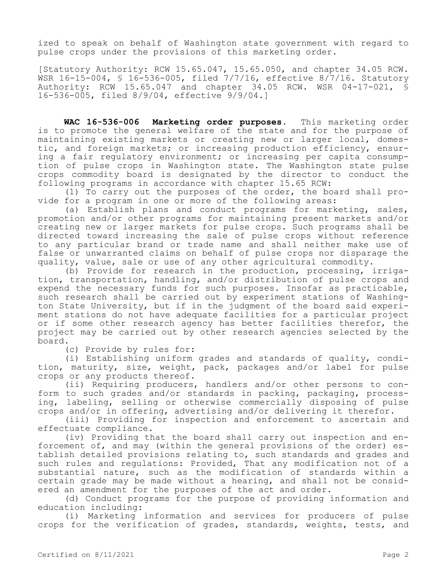ized to speak on behalf of Washington state government with regard to pulse crops under the provisions of this marketing order.

[Statutory Authority: RCW 15.65.047, 15.65.050, and chapter 34.05 RCW. WSR 16-15-004, § 16-536-005, filed 7/7/16, effective 8/7/16. Statutory Authority: RCW 15.65.047 and chapter 34.05 RCW. WSR 04-17-021, § 16-536-005, filed 8/9/04, effective 9/9/04.]

**WAC 16-536-006 Marketing order purposes.** This marketing order is to promote the general welfare of the state and for the purpose of maintaining existing markets or creating new or larger local, domestic, and foreign markets; or increasing production efficiency, ensuring a fair regulatory environment; or increasing per capita consumption of pulse crops in Washington state. The Washington state pulse crops commodity board is designated by the director to conduct the following programs in accordance with chapter 15.65 RCW:

(1) To carry out the purposes of the order, the board shall provide for a program in one or more of the following areas:

(a) Establish plans and conduct programs for marketing, sales, promotion and/or other programs for maintaining present markets and/or creating new or larger markets for pulse crops. Such programs shall be directed toward increasing the sale of pulse crops without reference to any particular brand or trade name and shall neither make use of false or unwarranted claims on behalf of pulse crops nor disparage the quality, value, sale or use of any other agricultural commodity.

(b) Provide for research in the production, processing, irrigation, transportation, handling, and/or distribution of pulse crops and expend the necessary funds for such purposes. Insofar as practicable, such research shall be carried out by experiment stations of Washington State University, but if in the judgment of the board said experiment stations do not have adequate facilities for a particular project or if some other research agency has better facilities therefor, the project may be carried out by other research agencies selected by the board.

(c) Provide by rules for:

(i) Establishing uniform grades and standards of quality, condition, maturity, size, weight, pack, packages and/or label for pulse crops or any products thereof.

(ii) Requiring producers, handlers and/or other persons to conform to such grades and/or standards in packing, packaging, processing, labeling, selling or otherwise commercially disposing of pulse crops and/or in offering, advertising and/or delivering it therefor.

(iii) Providing for inspection and enforcement to ascertain and effectuate compliance.

(iv) Providing that the board shall carry out inspection and enforcement of, and may (within the general provisions of the order) establish detailed provisions relating to, such standards and grades and such rules and regulations: Provided, That any modification not of a substantial nature, such as the modification of standards within a certain grade may be made without a hearing, and shall not be considered an amendment for the purposes of the act and order.

(d) Conduct programs for the purpose of providing information and education including:

(i) Marketing information and services for producers of pulse crops for the verification of grades, standards, weights, tests, and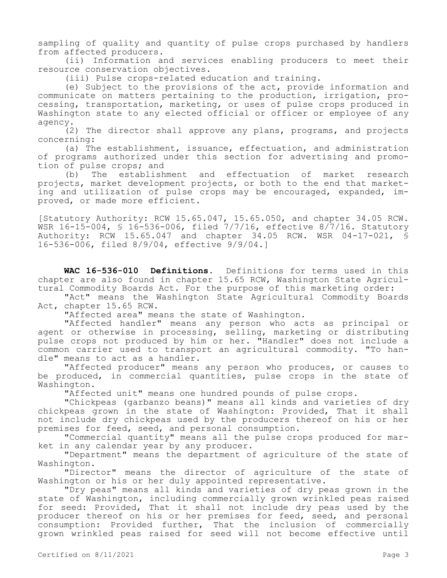sampling of quality and quantity of pulse crops purchased by handlers from affected producers.

(ii) Information and services enabling producers to meet their resource conservation objectives.

(iii) Pulse crops-related education and training.

(e) Subject to the provisions of the act, provide information and communicate on matters pertaining to the production, irrigation, processing, transportation, marketing, or uses of pulse crops produced in Washington state to any elected official or officer or employee of any agency.

(2) The director shall approve any plans, programs, and projects concerning:

(a) The establishment, issuance, effectuation, and administration of programs authorized under this section for advertising and promotion of pulse crops; and

(b) The establishment and effectuation of market research projects, market development projects, or both to the end that marketing and utilization of pulse crops may be encouraged, expanded, improved, or made more efficient.

[Statutory Authority: RCW 15.65.047, 15.65.050, and chapter 34.05 RCW. WSR 16-15-004, § 16-536-006, filed 7/7/16, effective 8/7/16. Statutory Authority: RCW 15.65.047 and chapter 34.05 RCW. WSR 04-17-021, § 16-536-006, filed 8/9/04, effective 9/9/04.]

**WAC 16-536-010 Definitions.** Definitions for terms used in this chapter are also found in chapter 15.65 RCW, Washington State Agricultural Commodity Boards Act. For the purpose of this marketing order:

"Act" means the Washington State Agricultural Commodity Boards Act, chapter 15.65 RCW.

"Affected area" means the state of Washington.

"Affected handler" means any person who acts as principal or agent or otherwise in processing, selling, marketing or distributing pulse crops not produced by him or her. "Handler" does not include a common carrier used to transport an agricultural commodity. "To handle" means to act as a handler.

"Affected producer" means any person who produces, or causes to be produced, in commercial quantities, pulse crops in the state of Washington.

"Affected unit" means one hundred pounds of pulse crops.

"Chickpeas (garbanzo beans)" means all kinds and varieties of dry chickpeas grown in the state of Washington: Provided, That it shall not include dry chickpeas used by the producers thereof on his or her premises for feed, seed, and personal consumption.

"Commercial quantity" means all the pulse crops produced for market in any calendar year by any producer.

"Department" means the department of agriculture of the state of Washington.

"Director" means the director of agriculture of the state of Washington or his or her duly appointed representative.

"Dry peas" means all kinds and varieties of dry peas grown in the state of Washington, including commercially grown wrinkled peas raised for seed: Provided, That it shall not include dry peas used by the producer thereof on his or her premises for feed, seed, and personal consumption: Provided further, That the inclusion of commercially grown wrinkled peas raised for seed will not become effective until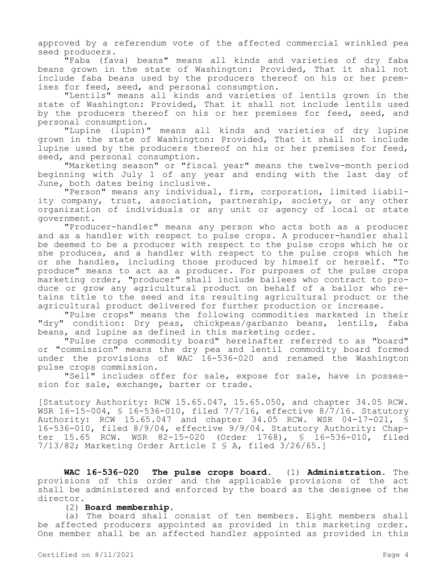approved by a referendum vote of the affected commercial wrinkled pea seed producers.

"Faba (fava) beans" means all kinds and varieties of dry faba beans grown in the state of Washington: Provided, That it shall not include faba beans used by the producers thereof on his or her premises for feed, seed, and personal consumption.

"Lentils" means all kinds and varieties of lentils grown in the state of Washington: Provided, That it shall not include lentils used by the producers thereof on his or her premises for feed, seed, and personal consumption.

"Lupine (lupin)" means all kinds and varieties of dry lupine grown in the state of Washington: Provided, That it shall not include lupine used by the producers thereof on his or her premises for feed, seed, and personal consumption.

"Marketing season" or "fiscal year" means the twelve-month period beginning with July 1 of any year and ending with the last day of June, both dates being inclusive.

"Person" means any individual, firm, corporation, limited liability company, trust, association, partnership, society, or any other organization of individuals or any unit or agency of local or state government.

"Producer-handler" means any person who acts both as a producer and as a handler with respect to pulse crops. A producer-handler shall be deemed to be a producer with respect to the pulse crops which he or she produces, and a handler with respect to the pulse crops which he or she handles, including those produced by himself or herself. "To produce" means to act as a producer. For purposes of the pulse crops marketing order, "producer" shall include bailees who contract to produce or grow any agricultural product on behalf of a bailor who retains title to the seed and its resulting agricultural product or the agricultural product delivered for further production or increase.

"Pulse crops" means the following commodities marketed in their "dry" condition: Dry peas, chickpeas/garbanzo beans, lentils, faba beans, and lupine as defined in this marketing order.

"Pulse crops commodity board" hereinafter referred to as "board" or "commission" means the dry pea and lentil commodity board formed under the provisions of WAC 16-536-020 and renamed the Washington pulse crops commission.

"Sell" includes offer for sale, expose for sale, have in possession for sale, exchange, barter or trade.

[Statutory Authority: RCW 15.65.047, 15.65.050, and chapter 34.05 RCW. WSR 16-15-004, § 16-536-010, filed 7/7/16, effective 8/7/16. Statutory Authority: RCW 15.65.047 and chapter 34.05 RCW. WSR 04-17-021, § 16-536-010, filed 8/9/04, effective 9/9/04. Statutory Authority: Chapter 15.65 RCW. WSR 82-15-020 (Order 1768), § 16-536-010, filed 7/13/82; Marketing Order Article I § A, filed 3/26/65.]

**WAC 16-536-020 The pulse crops board.** (1) **Administration.** The provisions of this order and the applicable provisions of the act shall be administered and enforced by the board as the designee of the director.

# (2) **Board membership.**

(a) The board shall consist of ten members. Eight members shall be affected producers appointed as provided in this marketing order. One member shall be an affected handler appointed as provided in this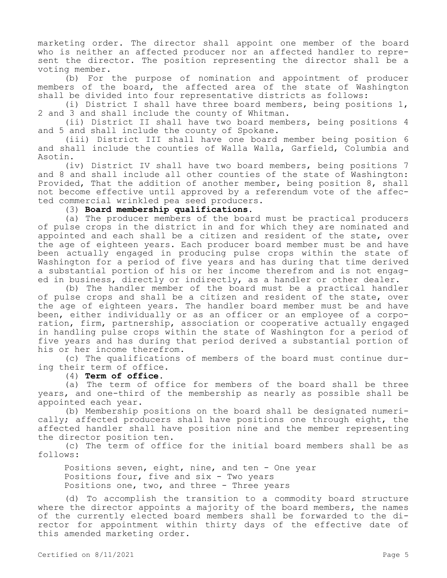marketing order. The director shall appoint one member of the board who is neither an affected producer nor an affected handler to represent the director. The position representing the director shall be a voting member.

(b) For the purpose of nomination and appointment of producer members of the board, the affected area of the state of Washington shall be divided into four representative districts as follows:

(i) District I shall have three board members, being positions 1, 2 and 3 and shall include the county of Whitman.

(ii) District II shall have two board members, being positions 4 and 5 and shall include the county of Spokane.

(iii) District III shall have one board member being position 6 and shall include the counties of Walla Walla, Garfield, Columbia and Asotin.

(iv) District IV shall have two board members, being positions 7 and 8 and shall include all other counties of the state of Washington: Provided, That the addition of another member, being position 8, shall not become effective until approved by a referendum vote of the affected commercial wrinkled pea seed producers.

(3) **Board membership qualifications.**

(a) The producer members of the board must be practical producers of pulse crops in the district in and for which they are nominated and appointed and each shall be a citizen and resident of the state, over the age of eighteen years. Each producer board member must be and have been actually engaged in producing pulse crops within the state of Washington for a period of five years and has during that time derived a substantial portion of his or her income therefrom and is not engaged in business, directly or indirectly, as a handler or other dealer.

(b) The handler member of the board must be a practical handler of pulse crops and shall be a citizen and resident of the state, over the age of eighteen years. The handler board member must be and have been, either individually or as an officer or an employee of a corporation, firm, partnership, association or cooperative actually engaged in handling pulse crops within the state of Washington for a period of five years and has during that period derived a substantial portion of his or her income therefrom.

(c) The qualifications of members of the board must continue during their term of office.

(4) **Term of office.**

(a) The term of office for members of the board shall be three years, and one-third of the membership as nearly as possible shall be appointed each year.

(b) Membership positions on the board shall be designated numerically; affected producers shall have positions one through eight, the affected handler shall have position nine and the member representing the director position ten.

(c) The term of office for the initial board members shall be as follows:

Positions seven, eight, nine, and ten - One year Positions four, five and  $six - Two years$ Positions one, two, and three - Three years

(d) To accomplish the transition to a commodity board structure where the director appoints a majority of the board members, the names of the currently elected board members shall be forwarded to the director for appointment within thirty days of the effective date of this amended marketing order.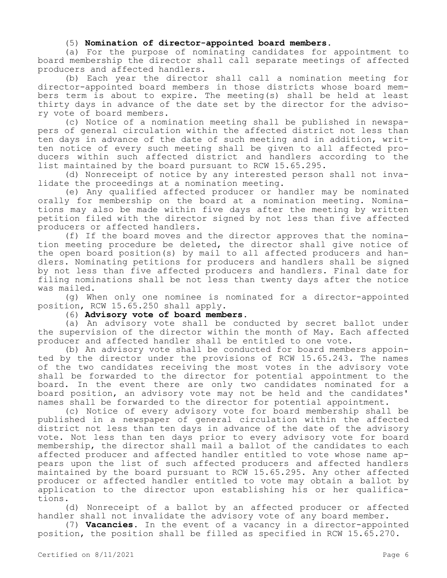## (5) **Nomination of director-appointed board members.**

(a) For the purpose of nominating candidates for appointment to board membership the director shall call separate meetings of affected producers and affected handlers.

(b) Each year the director shall call a nomination meeting for director-appointed board members in those districts whose board members term is about to expire. The meeting(s) shall be held at least thirty days in advance of the date set by the director for the advisory vote of board members.

(c) Notice of a nomination meeting shall be published in newspapers of general circulation within the affected district not less than ten days in advance of the date of such meeting and in addition, written notice of every such meeting shall be given to all affected producers within such affected district and handlers according to the list maintained by the board pursuant to RCW 15.65.295.

(d) Nonreceipt of notice by any interested person shall not invalidate the proceedings at a nomination meeting.

(e) Any qualified affected producer or handler may be nominated orally for membership on the board at a nomination meeting. Nominations may also be made within five days after the meeting by written petition filed with the director signed by not less than five affected producers or affected handlers.

(f) If the board moves and the director approves that the nomination meeting procedure be deleted, the director shall give notice of the open board position(s) by mail to all affected producers and handlers. Nominating petitions for producers and handlers shall be signed by not less than five affected producers and handlers. Final date for filing nominations shall be not less than twenty days after the notice was mailed.

(g) When only one nominee is nominated for a director-appointed position, RCW 15.65.250 shall apply.

(6) **Advisory vote of board members.**

(a) An advisory vote shall be conducted by secret ballot under the supervision of the director within the month of May. Each affected producer and affected handler shall be entitled to one vote.

(b) An advisory vote shall be conducted for board members appointed by the director under the provisions of RCW 15.65.243. The names of the two candidates receiving the most votes in the advisory vote shall be forwarded to the director for potential appointment to the board. In the event there are only two candidates nominated for a board position, an advisory vote may not be held and the candidates' names shall be forwarded to the director for potential appointment.

(c) Notice of every advisory vote for board membership shall be published in a newspaper of general circulation within the affected district not less than ten days in advance of the date of the advisory vote. Not less than ten days prior to every advisory vote for board membership, the director shall mail a ballot of the candidates to each affected producer and affected handler entitled to vote whose name appears upon the list of such affected producers and affected handlers maintained by the board pursuant to RCW 15.65.295. Any other affected producer or affected handler entitled to vote may obtain a ballot by application to the director upon establishing his or her qualifications.

(d) Nonreceipt of a ballot by an affected producer or affected handler shall not invalidate the advisory vote of any board member.

(7) **Vacancies.** In the event of a vacancy in a director-appointed position, the position shall be filled as specified in RCW 15.65.270.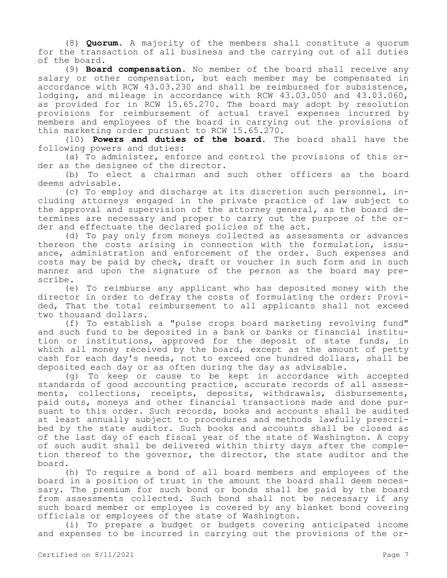(8) **Quorum.** A majority of the members shall constitute a quorum for the transaction of all business and the carrying out of all duties of the board.

(9) **Board compensation.** No member of the board shall receive any salary or other compensation, but each member may be compensated in accordance with RCW 43.03.230 and shall be reimbursed for subsistence, lodging, and mileage in accordance with RCW 43.03.050 and 43.03.060, as provided for in RCW 15.65.270. The board may adopt by resolution provisions for reimbursement of actual travel expenses incurred by members and employees of the board in carrying out the provisions of this marketing order pursuant to RCW 15.65.270.

(10) **Powers and duties of the board.** The board shall have the following powers and duties:

(a) To administer, enforce and control the provisions of this order as the designee of the director.

(b) To elect a chairman and such other officers as the board deems advisable.

(c) To employ and discharge at its discretion such personnel, including attorneys engaged in the private practice of law subject to the approval and supervision of the attorney general, as the board determines are necessary and proper to carry out the purpose of the order and effectuate the declared policies of the act.

(d) To pay only from moneys collected as assessments or advances thereon the costs arising in connection with the formulation, issuance, administration and enforcement of the order. Such expenses and costs may be paid by check, draft or voucher in such form and in such manner and upon the signature of the person as the board may prescribe.

(e) To reimburse any applicant who has deposited money with the director in order to defray the costs of formulating the order: Provided, That the total reimbursement to all applicants shall not exceed two thousand dollars.

(f) To establish a "pulse crops board marketing revolving fund" and such fund to be deposited in a bank or banks or financial institution or institutions, approved for the deposit of state funds, in which all money received by the board, except as the amount of petty cash for each day's needs, not to exceed one hundred dollars, shall be deposited each day or as often during the day as advisable.

(g) To keep or cause to be kept in accordance with accepted standards of good accounting practice, accurate records of all assessments, collections, receipts, deposits, withdrawals, disbursements, paid outs, moneys and other financial transactions made and done pursuant to this order. Such records, books and accounts shall be audited at least annually subject to procedures and methods lawfully prescribed by the state auditor. Such books and accounts shall be closed as of the last day of each fiscal year of the state of Washington. A copy of such audit shall be delivered within thirty days after the completion thereof to the governor, the director, the state auditor and the board.

(h) To require a bond of all board members and employees of the board in a position of trust in the amount the board shall deem necessary. The premium for such bond or bonds shall be paid by the board from assessments collected. Such bond shall not be necessary if any such board member or employee is covered by any blanket bond covering officials or employees of the state of Washington.

(i) To prepare a budget or budgets covering anticipated income and expenses to be incurred in carrying out the provisions of the or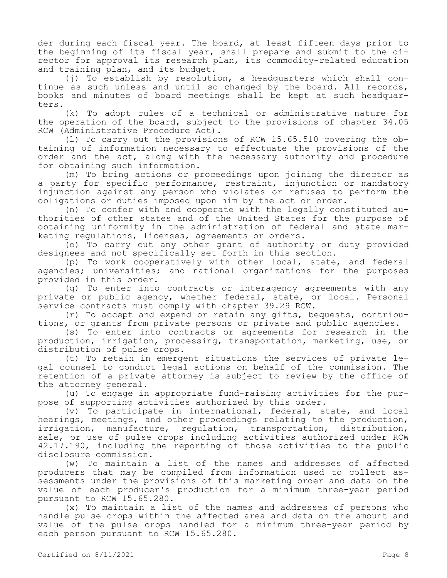der during each fiscal year. The board, at least fifteen days prior to the beginning of its fiscal year, shall prepare and submit to the director for approval its research plan, its commodity-related education and training plan, and its budget.

(j) To establish by resolution, a headquarters which shall continue as such unless and until so changed by the board. All records, books and minutes of board meetings shall be kept at such headquarters.

(k) To adopt rules of a technical or administrative nature for the operation of the board, subject to the provisions of chapter 34.05 RCW (Administrative Procedure Act).

(l) To carry out the provisions of RCW 15.65.510 covering the obtaining of information necessary to effectuate the provisions of the order and the act, along with the necessary authority and procedure for obtaining such information.

(m) To bring actions or proceedings upon joining the director as a party for specific performance, restraint, injunction or mandatory injunction against any person who violates or refuses to perform the obligations or duties imposed upon him by the act or order.

(n) To confer with and cooperate with the legally constituted authorities of other states and of the United States for the purpose of obtaining uniformity in the administration of federal and state marketing regulations, licenses, agreements or orders.

(o) To carry out any other grant of authority or duty provided designees and not specifically set forth in this section.

(p) To work cooperatively with other local, state, and federal agencies; universities; and national organizations for the purposes provided in this order.

(q) To enter into contracts or interagency agreements with any private or public agency, whether federal, state, or local. Personal service contracts must comply with chapter 39.29 RCW.

(r) To accept and expend or retain any gifts, bequests, contributions, or grants from private persons or private and public agencies.

(s) To enter into contracts or agreements for research in the production, irrigation, processing, transportation, marketing, use, or distribution of pulse crops.

(t) To retain in emergent situations the services of private legal counsel to conduct legal actions on behalf of the commission. The retention of a private attorney is subject to review by the office of the attorney general.

(u) To engage in appropriate fund-raising activities for the purpose of supporting activities authorized by this order.

(v) To participate in international, federal, state, and local hearings, meetings, and other proceedings relating to the production, irrigation, manufacture, regulation, transportation, distribution, sale, or use of pulse crops including activities authorized under RCW 42.17.190, including the reporting of those activities to the public disclosure commission.

(w) To maintain a list of the names and addresses of affected producers that may be compiled from information used to collect assessments under the provisions of this marketing order and data on the value of each producer's production for a minimum three-year period pursuant to RCW 15.65.280.

(x) To maintain a list of the names and addresses of persons who handle pulse crops within the affected area and data on the amount and value of the pulse crops handled for a minimum three-year period by each person pursuant to RCW 15.65.280.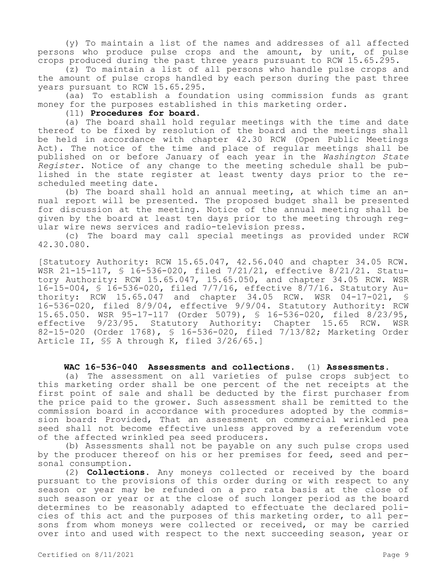(y) To maintain a list of the names and addresses of all affected persons who produce pulse crops and the amount, by unit, of pulse crops produced during the past three years pursuant to RCW 15.65.295.

(z) To maintain a list of all persons who handle pulse crops and the amount of pulse crops handled by each person during the past three years pursuant to RCW 15.65.295.

(aa) To establish a foundation using commission funds as grant money for the purposes established in this marketing order.

# (11) **Procedures for board.**

(a) The board shall hold regular meetings with the time and date thereof to be fixed by resolution of the board and the meetings shall be held in accordance with chapter 42.30 RCW (Open Public Meetings Act). The notice of the time and place of regular meetings shall be published on or before January of each year in the *Washington State Register*. Notice of any change to the meeting schedule shall be published in the state register at least twenty days prior to the rescheduled meeting date.

(b) The board shall hold an annual meeting, at which time an annual report will be presented. The proposed budget shall be presented for discussion at the meeting. Notice of the annual meeting shall be given by the board at least ten days prior to the meeting through regular wire news services and radio-television press.

(c) The board may call special meetings as provided under RCW 42.30.080.

[Statutory Authority: RCW 15.65.047, 42.56.040 and chapter 34.05 RCW. WSR 21-15-117, § 16-536-020, filed 7/21/21, effective 8/21/21. Statutory Authority: RCW 15.65.047, 15.65.050, and chapter 34.05 RCW. WSR 16-15-004, § 16-536-020, filed 7/7/16, effective 8/7/16. Statutory Authority: RCW 15.65.047 and chapter 34.05 RCW. WSR 04-17-021, § 16-536-020, filed 8/9/04, effective 9/9/04. Statutory Authority: RCW 15.65.050. WSR 95-17-117 (Order 5079), § 16-536-020, filed 8/23/95, effective 9/23/95. Statutory Authority: Chapter 15.65 RCW. WSR 82-15-020 (Order 1768), § 16-536-020, filed 7/13/82; Marketing Order Article II, §§ A through K, filed 3/26/65.]

# **WAC 16-536-040 Assessments and collections.** (1) **Assessments.**

(a) The assessment on all varieties of pulse crops subject to this marketing order shall be one percent of the net receipts at the first point of sale and shall be deducted by the first purchaser from the price paid to the grower. Such assessment shall be remitted to the commission board in accordance with procedures adopted by the commission board: Provided, That an assessment on commercial wrinkled pea seed shall not become effective unless approved by a referendum vote of the affected wrinkled pea seed producers.

(b) Assessments shall not be payable on any such pulse crops used by the producer thereof on his or her premises for feed, seed and personal consumption.

(2) **Collections.** Any moneys collected or received by the board pursuant to the provisions of this order during or with respect to any season or year may be refunded on a pro rata basis at the close of such season or year or at the close of such longer period as the board determines to be reasonably adapted to effectuate the declared policies of this act and the purposes of this marketing order, to all persons from whom moneys were collected or received, or may be carried over into and used with respect to the next succeeding season, year or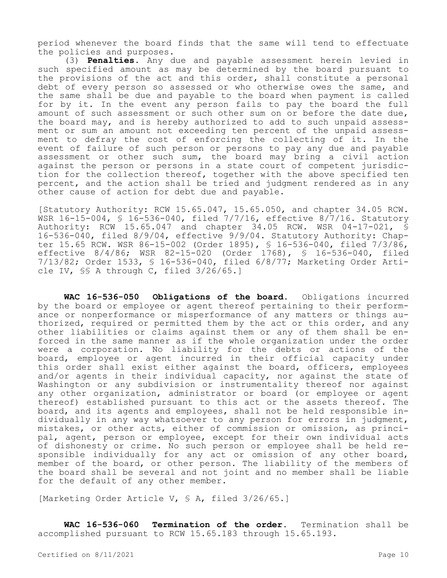period whenever the board finds that the same will tend to effectuate the policies and purposes.

(3) **Penalties.** Any due and payable assessment herein levied in such specified amount as may be determined by the board pursuant to the provisions of the act and this order, shall constitute a personal debt of every person so assessed or who otherwise owes the same, and the same shall be due and payable to the board when payment is called for by it. In the event any person fails to pay the board the full amount of such assessment or such other sum on or before the date due, the board may, and is hereby authorized to add to such unpaid assessment or sum an amount not exceeding ten percent of the unpaid assessment to defray the cost of enforcing the collecting of it. In the event of failure of such person or persons to pay any due and payable assessment or other such sum, the board may bring a civil action against the person or persons in a state court of competent jurisdiction for the collection thereof, together with the above specified ten percent, and the action shall be tried and judgment rendered as in any other cause of action for debt due and payable.

[Statutory Authority: RCW 15.65.047, 15.65.050, and chapter 34.05 RCW. WSR 16-15-004, § 16-536-040, filed 7/7/16, effective 8/7/16. Statutory Authority: RCW 15.65.047 and chapter 34.05 RCW. WSR 04-17-021, § 16-536-040, filed 8/9/04, effective 9/9/04. Statutory Authority: Chapter 15.65 RCW. WSR 86-15-002 (Order 1895), § 16-536-040, filed 7/3/86, effective 8/4/86; WSR 82-15-020 (Order 1768), § 16-536-040, filed 7/13/82; Order 1533, § 16-536-040, filed 6/8/77; Marketing Order Article IV, §§ A through C, filed 3/26/65.]

**WAC 16-536-050 Obligations of the board.** Obligations incurred by the board or employee or agent thereof pertaining to their performance or nonperformance or misperformance of any matters or things authorized, required or permitted them by the act or this order, and any other liabilities or claims against them or any of them shall be enforced in the same manner as if the whole organization under the order were a corporation. No liability for the debts or actions of the board, employee or agent incurred in their official capacity under this order shall exist either against the board, officers, employees and/or agents in their individual capacity, nor against the state of Washington or any subdivision or instrumentality thereof nor against any other organization, administrator or board (or employee or agent thereof) established pursuant to this act or the assets thereof. The board, and its agents and employees, shall not be held responsible individually in any way whatsoever to any person for errors in judgment, mistakes, or other acts, either of commission or omission, as principal, agent, person or employee, except for their own individual acts of dishonesty or crime. No such person or employee shall be held responsible individually for any act or omission of any other board, member of the board, or other person. The liability of the members of the board shall be several and not joint and no member shall be liable for the default of any other member.

[Marketing Order Article V, § A, filed 3/26/65.]

**WAC 16-536-060 Termination of the order.** Termination shall be accomplished pursuant to RCW 15.65.183 through 15.65.193.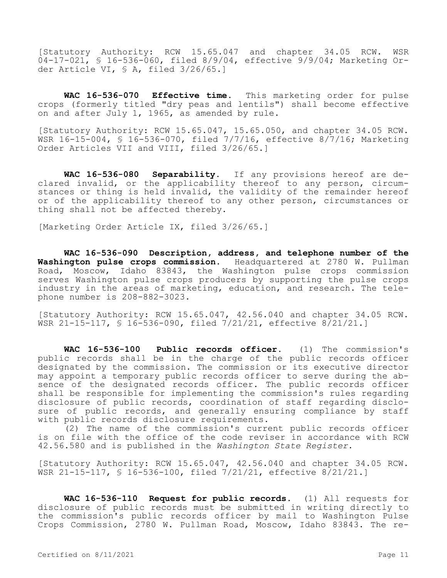[Statutory Authority: RCW 15.65.047 and chapter 34.05 RCW. WSR 04-17-021, § 16-536-060, filed 8/9/04, effective 9/9/04; Marketing Order Article VI, § A, filed 3/26/65.]

**WAC 16-536-070 Effective time.** This marketing order for pulse crops (formerly titled "dry peas and lentils") shall become effective on and after July 1, 1965, as amended by rule.

[Statutory Authority: RCW 15.65.047, 15.65.050, and chapter 34.05 RCW. WSR 16-15-004, § 16-536-070, filed 7/7/16, effective 8/7/16; Marketing Order Articles VII and VIII, filed 3/26/65.]

**WAC 16-536-080 Separability.** If any provisions hereof are declared invalid, or the applicability thereof to any person, circumstances or thing is held invalid, the validity of the remainder hereof or of the applicability thereof to any other person, circumstances or thing shall not be affected thereby.

[Marketing Order Article IX, filed 3/26/65.]

**WAC 16-536-090 Description, address, and telephone number of the Washington pulse crops commission.** Headquartered at 2780 W. Pullman Road, Moscow, Idaho 83843, the Washington pulse crops commission serves Washington pulse crops producers by supporting the pulse crops industry in the areas of marketing, education, and research. The telephone number is 208-882-3023.

[Statutory Authority: RCW 15.65.047, 42.56.040 and chapter 34.05 RCW. WSR 21-15-117, § 16-536-090, filed 7/21/21, effective 8/21/21.]

**WAC 16-536-100 Public records officer.** (1) The commission's public records shall be in the charge of the public records officer designated by the commission. The commission or its executive director may appoint a temporary public records officer to serve during the absence of the designated records officer. The public records officer shall be responsible for implementing the commission's rules regarding disclosure of public records, coordination of staff regarding disclosure of public records, and generally ensuring compliance by staff with public records disclosure requirements.

(2) The name of the commission's current public records officer is on file with the office of the code reviser in accordance with RCW 42.56.580 and is published in the *Washington State Register*.

[Statutory Authority: RCW 15.65.047, 42.56.040 and chapter 34.05 RCW. WSR 21-15-117, § 16-536-100, filed 7/21/21, effective 8/21/21.]

**WAC 16-536-110 Request for public records.** (1) All requests for disclosure of public records must be submitted in writing directly to the commission's public records officer by mail to Washington Pulse Crops Commission, 2780 W. Pullman Road, Moscow, Idaho 83843. The re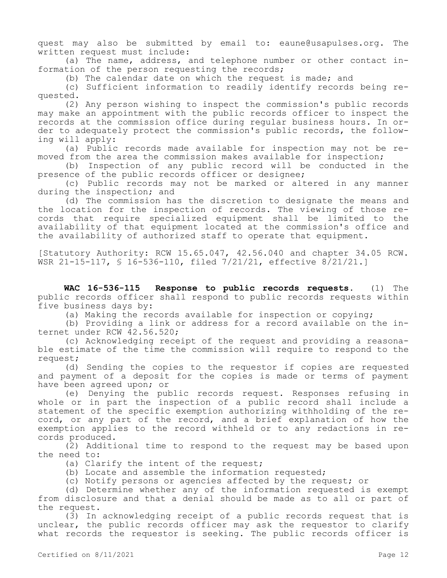quest may also be submitted by email to: eaune@usapulses.org. The written request must include:

(a) The name, address, and telephone number or other contact information of the person requesting the records;

(b) The calendar date on which the request is made; and

(c) Sufficient information to readily identify records being requested.

(2) Any person wishing to inspect the commission's public records may make an appointment with the public records officer to inspect the records at the commission office during regular business hours. In order to adequately protect the commission's public records, the following will apply:

(a) Public records made available for inspection may not be removed from the area the commission makes available for inspection;

(b) Inspection of any public record will be conducted in the presence of the public records officer or designee;

(c) Public records may not be marked or altered in any manner during the inspection; and

(d) The commission has the discretion to designate the means and the location for the inspection of records. The viewing of those records that require specialized equipment shall be limited to the availability of that equipment located at the commission's office and the availability of authorized staff to operate that equipment.

[Statutory Authority: RCW 15.65.047, 42.56.040 and chapter 34.05 RCW. WSR 21-15-117, § 16-536-110, filed 7/21/21, effective 8/21/21.]

**WAC 16-536-115 Response to public records requests.** (1) The public records officer shall respond to public records requests within five business days by:

(a) Making the records available for inspection or copying;

(b) Providing a link or address for a record available on the internet under RCW 42.56.520;

(c) Acknowledging receipt of the request and providing a reasonable estimate of the time the commission will require to respond to the request;

(d) Sending the copies to the requestor if copies are requested and payment of a deposit for the copies is made or terms of payment have been agreed upon; or

(e) Denying the public records request. Responses refusing in whole or in part the inspection of a public record shall include a statement of the specific exemption authorizing withholding of the record, or any part of the record, and a brief explanation of how the exemption applies to the record withheld or to any redactions in records produced.

(2) Additional time to respond to the request may be based upon the need to:

- (a) Clarify the intent of the request;
- (b) Locate and assemble the information requested;
- (c) Notify persons or agencies affected by the request; or

(d) Determine whether any of the information requested is exempt from disclosure and that a denial should be made as to all or part of the request.

(3) In acknowledging receipt of a public records request that is unclear, the public records officer may ask the requestor to clarify what records the requestor is seeking. The public records officer is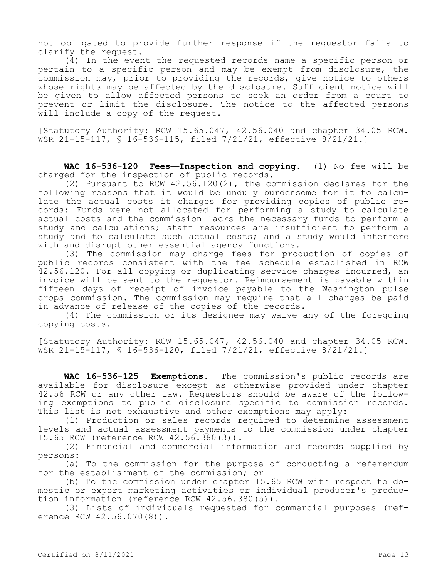not obligated to provide further response if the requestor fails to clarify the request.

(4) In the event the requested records name a specific person or pertain to a specific person and may be exempt from disclosure, the commission may, prior to providing the records, give notice to others whose rights may be affected by the disclosure. Sufficient notice will be given to allow affected persons to seek an order from a court to prevent or limit the disclosure. The notice to the affected persons will include a copy of the request.

[Statutory Authority: RCW 15.65.047, 42.56.040 and chapter 34.05 RCW. WSR 21-15-117, § 16-536-115, filed 7/21/21, effective 8/21/21.]

**WAC 16-536-120 Fees—Inspection and copying.** (1) No fee will be charged for the inspection of public records.

(2) Pursuant to RCW 42.56.120(2), the commission declares for the following reasons that it would be unduly burdensome for it to calculate the actual costs it charges for providing copies of public records: Funds were not allocated for performing a study to calculate actual costs and the commission lacks the necessary funds to perform a study and calculations; staff resources are insufficient to perform a study and to calculate such actual costs; and a study would interfere with and disrupt other essential agency functions.

(3) The commission may charge fees for production of copies of public records consistent with the fee schedule established in RCW 42.56.120. For all copying or duplicating service charges incurred, an invoice will be sent to the requestor. Reimbursement is payable within fifteen days of receipt of invoice payable to the Washington pulse crops commission. The commission may require that all charges be paid in advance of release of the copies of the records.

(4) The commission or its designee may waive any of the foregoing copying costs.

[Statutory Authority: RCW 15.65.047, 42.56.040 and chapter 34.05 RCW. WSR 21-15-117, § 16-536-120, filed 7/21/21, effective 8/21/21.]

**WAC 16-536-125 Exemptions.** The commission's public records are available for disclosure except as otherwise provided under chapter 42.56 RCW or any other law. Requestors should be aware of the following exemptions to public disclosure specific to commission records. This list is not exhaustive and other exemptions may apply:

(1) Production or sales records required to determine assessment levels and actual assessment payments to the commission under chapter 15.65 RCW (reference RCW 42.56.380(3)).

(2) Financial and commercial information and records supplied by persons:

(a) To the commission for the purpose of conducting a referendum for the establishment of the commission; or

(b) To the commission under chapter 15.65 RCW with respect to domestic or export marketing activities or individual producer's production information (reference RCW 42.56.380(5)).

(3) Lists of individuals requested for commercial purposes (reference RCW 42.56.070(8)).